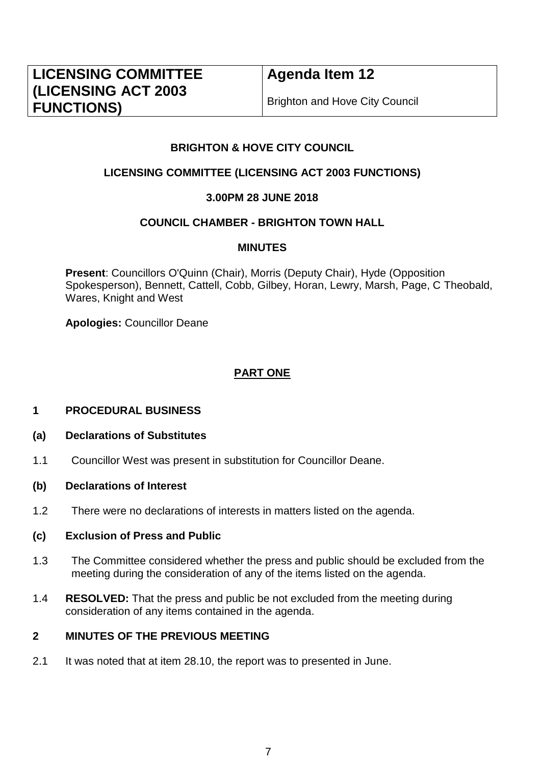# **LICENSING COMMITTEE (LICENSING ACT 2003 FUNCTIONS)**

## **Agenda Item 12**

Brighton and Hove City Council

### **BRIGHTON & HOVE CITY COUNCIL**

### **LICENSING COMMITTEE (LICENSING ACT 2003 FUNCTIONS)**

### **3.00PM 28 JUNE 2018**

### **COUNCIL CHAMBER - BRIGHTON TOWN HALL**

#### **MINUTES**

**Present**: Councillors O'Quinn (Chair), Morris (Deputy Chair), Hyde (Opposition Spokesperson), Bennett, Cattell, Cobb, Gilbey, Horan, Lewry, Marsh, Page, C Theobald, Wares, Knight and West

**Apologies:** Councillor Deane

### **PART ONE**

#### **1 PROCEDURAL BUSINESS**

- **(a) Declarations of Substitutes**
- 1.1 Councillor West was present in substitution for Councillor Deane.
- **(b) Declarations of Interest**
- 1.2 There were no declarations of interests in matters listed on the agenda.

#### **(c) Exclusion of Press and Public**

- 1.3 The Committee considered whether the press and public should be excluded from the meeting during the consideration of any of the items listed on the agenda.
- 1.4 **RESOLVED:** That the press and public be not excluded from the meeting during consideration of any items contained in the agenda.

### **2 MINUTES OF THE PREVIOUS MEETING**

2.1 It was noted that at item 28.10, the report was to presented in June.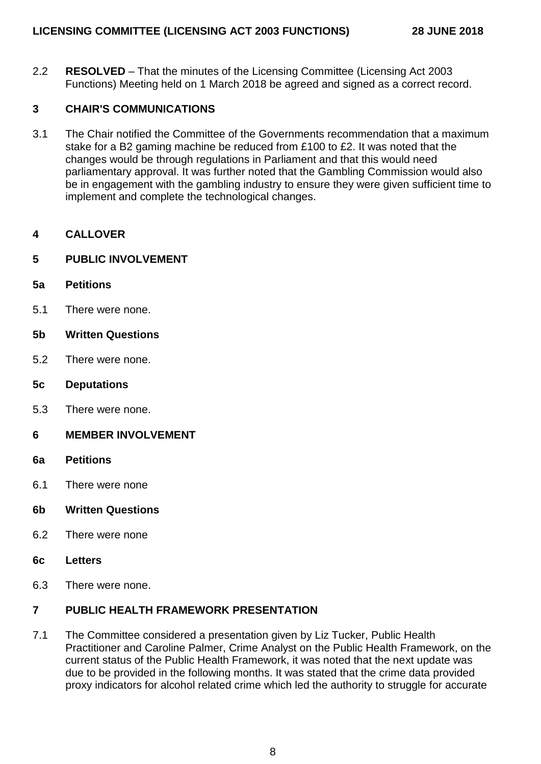2.2 **RESOLVED** – That the minutes of the Licensing Committee (Licensing Act 2003 Functions) Meeting held on 1 March 2018 be agreed and signed as a correct record.

### **3 CHAIR'S COMMUNICATIONS**

3.1 The Chair notified the Committee of the Governments recommendation that a maximum stake for a B2 gaming machine be reduced from £100 to £2. It was noted that the changes would be through regulations in Parliament and that this would need parliamentary approval. It was further noted that the Gambling Commission would also be in engagement with the gambling industry to ensure they were given sufficient time to implement and complete the technological changes.

### **4 CALLOVER**

### **5 PUBLIC INVOLVEMENT**

- **5a Petitions**
- 5.1 There were none.
- **5b Written Questions**
- 5.2 There were none.
- **5c Deputations**
- 5.3 There were none.
- **6 MEMBER INVOLVEMENT**
- **6a Petitions**
- 6.1 There were none
- **6b Written Questions**
- 6.2 There were none
- **6c Letters**
- 6.3 There were none.

### **7 PUBLIC HEALTH FRAMEWORK PRESENTATION**

7.1 The Committee considered a presentation given by Liz Tucker, Public Health Practitioner and Caroline Palmer, Crime Analyst on the Public Health Framework, on the current status of the Public Health Framework, it was noted that the next update was due to be provided in the following months. It was stated that the crime data provided proxy indicators for alcohol related crime which led the authority to struggle for accurate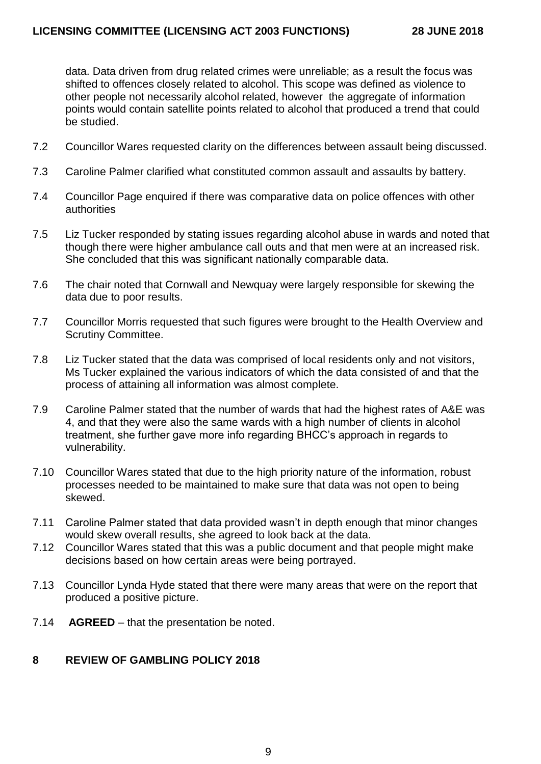data. Data driven from drug related crimes were unreliable; as a result the focus was shifted to offences closely related to alcohol. This scope was defined as violence to other people not necessarily alcohol related, however the aggregate of information points would contain satellite points related to alcohol that produced a trend that could be studied.

- 7.2 Councillor Wares requested clarity on the differences between assault being discussed.
- 7.3 Caroline Palmer clarified what constituted common assault and assaults by battery.
- 7.4 Councillor Page enquired if there was comparative data on police offences with other authorities
- 7.5 Liz Tucker responded by stating issues regarding alcohol abuse in wards and noted that though there were higher ambulance call outs and that men were at an increased risk. She concluded that this was significant nationally comparable data.
- 7.6 The chair noted that Cornwall and Newquay were largely responsible for skewing the data due to poor results.
- 7.7 Councillor Morris requested that such figures were brought to the Health Overview and Scrutiny Committee.
- 7.8 Liz Tucker stated that the data was comprised of local residents only and not visitors, Ms Tucker explained the various indicators of which the data consisted of and that the process of attaining all information was almost complete.
- 7.9 Caroline Palmer stated that the number of wards that had the highest rates of A&E was 4, and that they were also the same wards with a high number of clients in alcohol treatment, she further gave more info regarding BHCC's approach in regards to vulnerability.
- 7.10 Councillor Wares stated that due to the high priority nature of the information, robust processes needed to be maintained to make sure that data was not open to being skewed.
- 7.11 Caroline Palmer stated that data provided wasn't in depth enough that minor changes would skew overall results, she agreed to look back at the data.
- 7.12 Councillor Wares stated that this was a public document and that people might make decisions based on how certain areas were being portrayed.
- 7.13 Councillor Lynda Hyde stated that there were many areas that were on the report that produced a positive picture.
- 7.14 **AGREED**  that the presentation be noted.

#### **8 REVIEW OF GAMBLING POLICY 2018**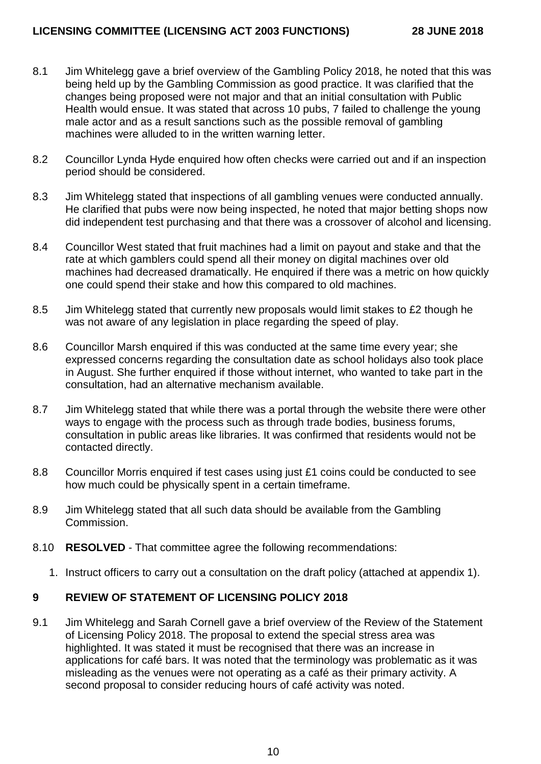- 8.1 Jim Whitelegg gave a brief overview of the Gambling Policy 2018, he noted that this was being held up by the Gambling Commission as good practice. It was clarified that the changes being proposed were not major and that an initial consultation with Public Health would ensue. It was stated that across 10 pubs, 7 failed to challenge the young male actor and as a result sanctions such as the possible removal of gambling machines were alluded to in the written warning letter.
- 8.2 Councillor Lynda Hyde enquired how often checks were carried out and if an inspection period should be considered.
- 8.3 Jim Whitelegg stated that inspections of all gambling venues were conducted annually. He clarified that pubs were now being inspected, he noted that major betting shops now did independent test purchasing and that there was a crossover of alcohol and licensing.
- 8.4 Councillor West stated that fruit machines had a limit on payout and stake and that the rate at which gamblers could spend all their money on digital machines over old machines had decreased dramatically. He enquired if there was a metric on how quickly one could spend their stake and how this compared to old machines.
- 8.5 Jim Whitelegg stated that currently new proposals would limit stakes to £2 though he was not aware of any legislation in place regarding the speed of play.
- 8.6 Councillor Marsh enquired if this was conducted at the same time every year; she expressed concerns regarding the consultation date as school holidays also took place in August. She further enquired if those without internet, who wanted to take part in the consultation, had an alternative mechanism available.
- 8.7 Jim Whitelegg stated that while there was a portal through the website there were other ways to engage with the process such as through trade bodies, business forums, consultation in public areas like libraries. It was confirmed that residents would not be contacted directly.
- 8.8 Councillor Morris enquired if test cases using just £1 coins could be conducted to see how much could be physically spent in a certain timeframe.
- 8.9 Jim Whitelegg stated that all such data should be available from the Gambling Commission.
- 8.10 **RESOLVED**  That committee agree the following recommendations:
	- 1. Instruct officers to carry out a consultation on the draft policy (attached at appendix 1).

#### **9 REVIEW OF STATEMENT OF LICENSING POLICY 2018**

9.1 Jim Whitelegg and Sarah Cornell gave a brief overview of the Review of the Statement of Licensing Policy 2018. The proposal to extend the special stress area was highlighted. It was stated it must be recognised that there was an increase in applications for café bars. It was noted that the terminology was problematic as it was misleading as the venues were not operating as a café as their primary activity. A second proposal to consider reducing hours of café activity was noted.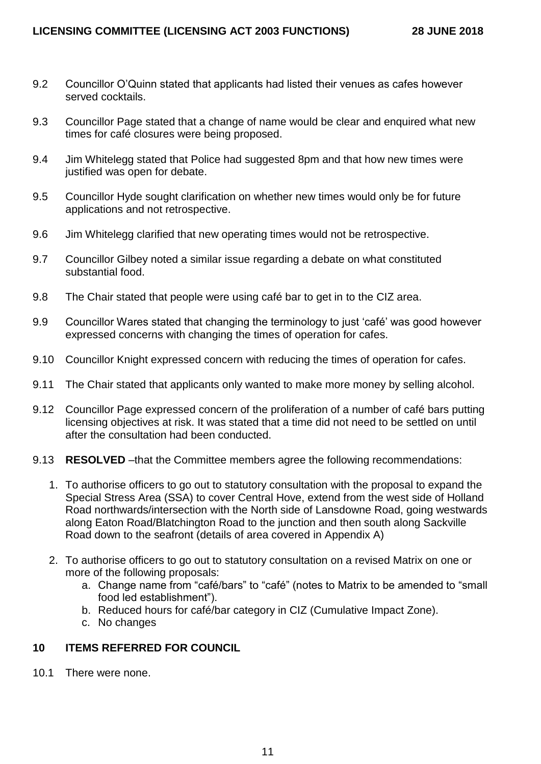- 9.2 Councillor O'Quinn stated that applicants had listed their venues as cafes however served cocktails.
- 9.3 Councillor Page stated that a change of name would be clear and enquired what new times for café closures were being proposed.
- 9.4 Jim Whitelegg stated that Police had suggested 8pm and that how new times were justified was open for debate.
- 9.5 Councillor Hyde sought clarification on whether new times would only be for future applications and not retrospective.
- 9.6 Jim Whitelegg clarified that new operating times would not be retrospective.
- 9.7 Councillor Gilbey noted a similar issue regarding a debate on what constituted substantial food.
- 9.8 The Chair stated that people were using café bar to get in to the CIZ area.
- 9.9 Councillor Wares stated that changing the terminology to just 'café' was good however expressed concerns with changing the times of operation for cafes.
- 9.10 Councillor Knight expressed concern with reducing the times of operation for cafes.
- 9.11 The Chair stated that applicants only wanted to make more money by selling alcohol.
- 9.12 Councillor Page expressed concern of the proliferation of a number of café bars putting licensing objectives at risk. It was stated that a time did not need to be settled on until after the consultation had been conducted.
- 9.13 **RESOLVED** –that the Committee members agree the following recommendations:
	- 1. To authorise officers to go out to statutory consultation with the proposal to expand the Special Stress Area (SSA) to cover Central Hove, extend from the west side of Holland Road northwards/intersection with the North side of Lansdowne Road, going westwards along Eaton Road/Blatchington Road to the junction and then south along Sackville Road down to the seafront (details of area covered in Appendix A)
	- 2. To authorise officers to go out to statutory consultation on a revised Matrix on one or more of the following proposals:
		- a. Change name from "café/bars" to "café" (notes to Matrix to be amended to "small food led establishment").
		- b. Reduced hours for café/bar category in CIZ (Cumulative Impact Zone).
		- c. No changes

#### **10 ITEMS REFERRED FOR COUNCIL**

10.1 There were none.